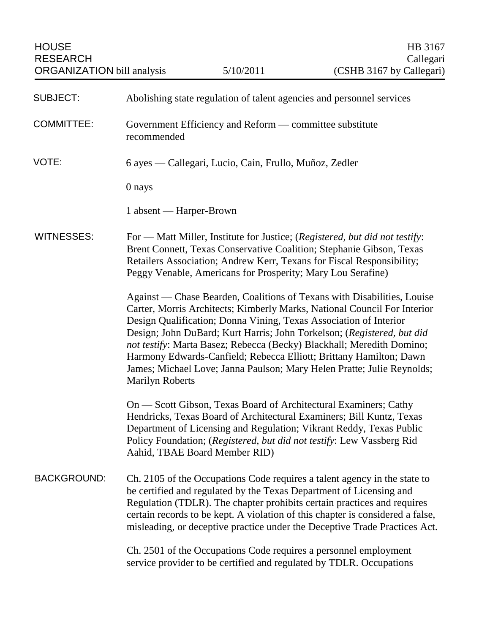| <b>SUBJECT:</b>    | Abolishing state regulation of talent agencies and personnel services                                                                                                                                                                                                                                                                                                                                                                                                                                                                                 |
|--------------------|-------------------------------------------------------------------------------------------------------------------------------------------------------------------------------------------------------------------------------------------------------------------------------------------------------------------------------------------------------------------------------------------------------------------------------------------------------------------------------------------------------------------------------------------------------|
| <b>COMMITTEE:</b>  | Government Efficiency and Reform — committee substitute<br>recommended                                                                                                                                                                                                                                                                                                                                                                                                                                                                                |
| VOTE:              | 6 ayes — Callegari, Lucio, Cain, Frullo, Muñoz, Zedler                                                                                                                                                                                                                                                                                                                                                                                                                                                                                                |
|                    | 0 nays                                                                                                                                                                                                                                                                                                                                                                                                                                                                                                                                                |
|                    | 1 absent — Harper-Brown                                                                                                                                                                                                                                                                                                                                                                                                                                                                                                                               |
| <b>WITNESSES:</b>  | For — Matt Miller, Institute for Justice; (Registered, but did not testify:<br>Brent Connett, Texas Conservative Coalition; Stephanie Gibson, Texas<br>Retailers Association; Andrew Kerr, Texans for Fiscal Responsibility;<br>Peggy Venable, Americans for Prosperity; Mary Lou Serafine)                                                                                                                                                                                                                                                           |
|                    | Against — Chase Bearden, Coalitions of Texans with Disabilities, Louise<br>Carter, Morris Architects; Kimberly Marks, National Council For Interior<br>Design Qualification; Donna Vining, Texas Association of Interior<br>Design; John DuBard; Kurt Harris; John Torkelson; (Registered, but did<br>not testify: Marta Basez; Rebecca (Becky) Blackhall; Meredith Domino;<br>Harmony Edwards-Canfield; Rebecca Elliott; Brittany Hamilton; Dawn<br>James; Michael Love; Janna Paulson; Mary Helen Pratte; Julie Reynolds;<br><b>Marilyn Roberts</b> |
|                    | On — Scott Gibson, Texas Board of Architectural Examiners; Cathy<br>Hendricks, Texas Board of Architectural Examiners; Bill Kuntz, Texas<br>Department of Licensing and Regulation; Vikrant Reddy, Texas Public<br>Policy Foundation; (Registered, but did not testify: Lew Vassberg Rid<br>Aahid, TBAE Board Member RID)                                                                                                                                                                                                                             |
| <b>BACKGROUND:</b> | Ch. 2105 of the Occupations Code requires a talent agency in the state to<br>be certified and regulated by the Texas Department of Licensing and<br>Regulation (TDLR). The chapter prohibits certain practices and requires<br>certain records to be kept. A violation of this chapter is considered a false,<br>misleading, or deceptive practice under the Deceptive Trade Practices Act.                                                                                                                                                           |
|                    | Ch. 2501 of the Occupations Code requires a personnel employment                                                                                                                                                                                                                                                                                                                                                                                                                                                                                      |

service provider to be certified and regulated by TDLR. Occupations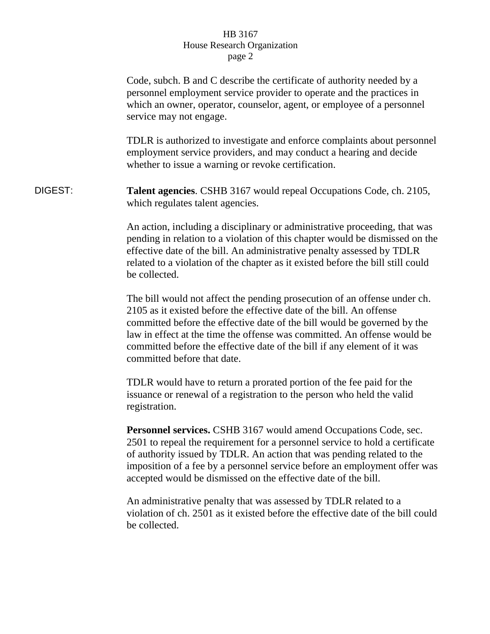## HB 3167 House Research Organization page 2

|         | Code, subch. B and C describe the certificate of authority needed by a<br>personnel employment service provider to operate and the practices in<br>which an owner, operator, counselor, agent, or employee of a personnel<br>service may not engage.<br>TDLR is authorized to investigate and enforce complaints about personnel<br>employment service providers, and may conduct a hearing and decide<br>whether to issue a warning or revoke certification. |
|---------|---------------------------------------------------------------------------------------------------------------------------------------------------------------------------------------------------------------------------------------------------------------------------------------------------------------------------------------------------------------------------------------------------------------------------------------------------------------|
| DIGEST: | <b>Talent agencies.</b> CSHB 3167 would repeal Occupations Code, ch. 2105,<br>which regulates talent agencies.                                                                                                                                                                                                                                                                                                                                                |
|         | An action, including a disciplinary or administrative proceeding, that was<br>pending in relation to a violation of this chapter would be dismissed on the<br>effective date of the bill. An administrative penalty assessed by TDLR<br>related to a violation of the chapter as it existed before the bill still could<br>be collected.                                                                                                                      |
|         | The bill would not affect the pending prosecution of an offense under ch.<br>2105 as it existed before the effective date of the bill. An offense<br>committed before the effective date of the bill would be governed by the<br>law in effect at the time the offense was committed. An offense would be<br>committed before the effective date of the bill if any element of it was<br>committed before that date.                                          |
|         | TDLR would have to return a prorated portion of the fee paid for the<br>issuance or renewal of a registration to the person who held the valid<br>registration.                                                                                                                                                                                                                                                                                               |
|         | Personnel services. CSHB 3167 would amend Occupations Code, sec.<br>2501 to repeal the requirement for a personnel service to hold a certificate<br>of authority issued by TDLR. An action that was pending related to the<br>imposition of a fee by a personnel service before an employment offer was<br>accepted would be dismissed on the effective date of the bill.                                                                                     |
|         | An administrative penalty that was assessed by TDLR related to a<br>violation of ch. 2501 as it existed before the effective date of the bill could<br>be collected.                                                                                                                                                                                                                                                                                          |
|         |                                                                                                                                                                                                                                                                                                                                                                                                                                                               |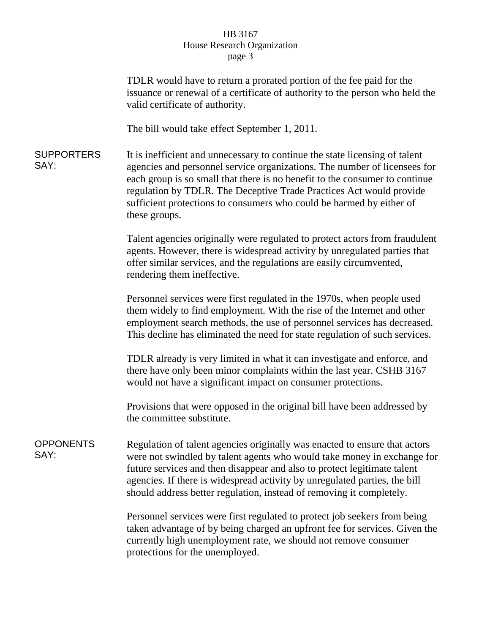## HB 3167 House Research Organization page 3

|                           | TDLR would have to return a prorated portion of the fee paid for the<br>issuance or renewal of a certificate of authority to the person who held the<br>valid certificate of authority.                                                                                                                                                                                                                 |
|---------------------------|---------------------------------------------------------------------------------------------------------------------------------------------------------------------------------------------------------------------------------------------------------------------------------------------------------------------------------------------------------------------------------------------------------|
|                           | The bill would take effect September 1, 2011.                                                                                                                                                                                                                                                                                                                                                           |
| <b>SUPPORTERS</b><br>SAY: | It is inefficient and unnecessary to continue the state licensing of talent<br>agencies and personnel service organizations. The number of licensees for<br>each group is so small that there is no benefit to the consumer to continue<br>regulation by TDLR. The Deceptive Trade Practices Act would provide<br>sufficient protections to consumers who could be harmed by either of<br>these groups. |
|                           | Talent agencies originally were regulated to protect actors from fraudulent<br>agents. However, there is widespread activity by unregulated parties that<br>offer similar services, and the regulations are easily circumvented,<br>rendering them ineffective.                                                                                                                                         |
|                           | Personnel services were first regulated in the 1970s, when people used<br>them widely to find employment. With the rise of the Internet and other<br>employment search methods, the use of personnel services has decreased.<br>This decline has eliminated the need for state regulation of such services.                                                                                             |
|                           | TDLR already is very limited in what it can investigate and enforce, and<br>there have only been minor complaints within the last year. CSHB 3167<br>would not have a significant impact on consumer protections.                                                                                                                                                                                       |
|                           | Provisions that were opposed in the original bill have been addressed by<br>the committee substitute.                                                                                                                                                                                                                                                                                                   |
| <b>OPPONENTS</b><br>SAY:  | Regulation of talent agencies originally was enacted to ensure that actors<br>were not swindled by talent agents who would take money in exchange for<br>future services and then disappear and also to protect legitimate talent<br>agencies. If there is widespread activity by unregulated parties, the bill<br>should address better regulation, instead of removing it completely.                 |
|                           | Personnel services were first regulated to protect job seekers from being<br>taken advantage of by being charged an upfront fee for services. Given the<br>currently high unemployment rate, we should not remove consumer<br>protections for the unemployed.                                                                                                                                           |